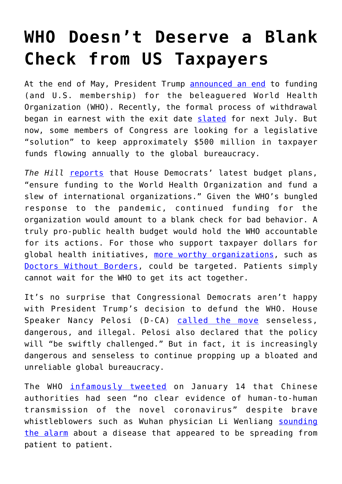## **[WHO Doesn't Deserve a Blank](https://intellectualtakeout.org/2020/07/who-doesnt-deserve-a-blank-check-from-us-taxpayers/) [Check from US Taxpayers](https://intellectualtakeout.org/2020/07/who-doesnt-deserve-a-blank-check-from-us-taxpayers/)**

At the end of May, President Trump [announced an end](https://www.cnn.com/2020/05/19/us/trump-who-funding-threat-explainer-intl/index.html) to funding (and U.S. membership) for the beleaguered World Health Organization (WHO). Recently, the formal process of withdrawal began in earnest with the exit date [slated](https://www.cnn.com/2020/07/07/politics/us-withdrawing-world-health-organization/index.html) for next July. But now, some members of Congress are looking for a legislative "solution" to keep approximately \$500 million in taxpayer funds flowing annually to the global bureaucracy.

*The Hill* [reports](https://thehill.com/homenews/house/506092-democrats-take-aim-at-trumps-policies-on-2021-funding-markups) that House Democrats' latest budget plans, "ensure funding to the World Health Organization and fund a slew of international organizations." Given the WHO's bungled response to the pandemic, continued funding for the organization would amount to a blank check for bad behavior. A truly pro-public health budget would hold the WHO accountable for its actions. For those who support taxpayer dollars for global health initiatives, [more worthy organizations,](https://catalyst.independent.org/2020/04/24/who-world-health-organization-public-funding/) such as [Doctors Without Borders,](https://www.doctorswithoutborders.org/) could be targeted. Patients simply cannot wait for the WHO to get its act together.

It's no surprise that Congressional Democrats aren't happy with President Trump's decision to defund the WHO. House Speaker Nancy Pelosi (D-CA) [called the move](https://www.reuters.com/article/us-health-coronavirus-who-pelosi/house-speaker-pelosi-calls-trump-who-decision-senseless-dangerous-idUSKCN21X2GY) senseless, dangerous, and illegal. Pelosi also declared that the policy will "be swiftly challenged." But in fact, it is increasingly dangerous and senseless to continue propping up a bloated and unreliable global bureaucracy.

The WHO [infamously tweeted](https://twitter.com/who/status/1217043229427761152?lang=en) on January 14 that Chinese authorities had seen "no clear evidence of human-to-human transmission of the novel coronavirus" despite brave whistleblowers such as Wuhan physician Li Wenliang [sounding](https://www.protectingtaxpayers.org/healthcare/profiles-in-courage-dr-li-wenliang/) [the alarm](https://www.protectingtaxpayers.org/healthcare/profiles-in-courage-dr-li-wenliang/) about a disease that appeared to be spreading from patient to patient.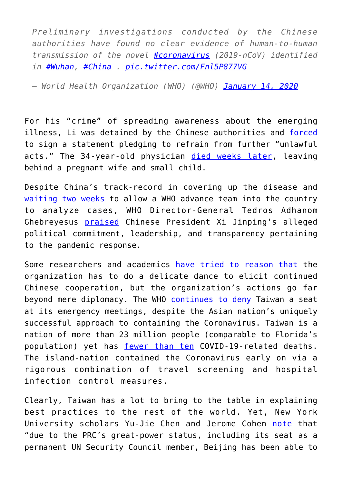*Preliminary investigations conducted by the Chinese authorities have found no clear evidence of human-to-human transmission of the novel [#coronavirus](https://twitter.com/hashtag/coronavirus?src=hash&ref_src=twsrc%5Etfw) (2019-nCoV) identified in [#Wuhan](https://twitter.com/hashtag/Wuhan?src=hash&ref_src=twsrc%5Etfw), [#China](https://twitter.com/hashtag/China?src=hash&ref_src=twsrc%5Etfw) . [pic.twitter.com/Fnl5P877VG](https://t.co/Fnl5P877VG)*

*— World Health Organization (WHO) (@WHO) [January 14, 2020](https://twitter.com/WHO/status/1217043229427761152?ref_src=twsrc%5Etfw)*

For his "crime" of spreading awareness about the emerging illness, Li was detained by the Chinese authorities and [forced](https://www.cnn.com/2020/02/03/asia/coronavirus-doctor-whistle-blower-intl-hnk/index.html) to sign a statement pledging to refrain from further "unlawful acts." The 34-year-old physician [died weeks later](https://fee.org/articles/the-coronavirus-whistleblower-who-gave-his-life/), leaving behind a pregnant wife and small child.

Despite China's track-record in covering up the disease and [waiting two weeks](https://www.reuters.com/article/us-china-health-who/advance-team-of-who-experts-arrives-in-china-to-probe-coronavirus-idUSKBN2041S9) to allow a WHO advance team into the country to analyze cases, WHO Director-General Tedros Adhanom Ghebreyesus [praised](https://www.scmp.com/news/china/science/article/3050351/coronavirus-who-head-stands-his-praise-china-and-xi-jinping) Chinese President Xi Jinping's alleged political commitment, leadership, and transparency pertaining to the pandemic response.

Some researchers and academics [have tried to reason that](https://www.washingtonpost.com/politics/2020/03/04/does-world-health-organization-have-freedom-do-what-it-needs-do-about-covid-19/) the organization has to do a delicate dance to elicit continued Chinese cooperation, but the organization's actions go far beyond mere diplomacy. The WHO [continues to deny](https://foreignpolicy.com/2020/02/28/taiwan-who-coronavirus-china-international-organizations/) Taiwan a seat at its emergency meetings, despite the Asian nation's uniquely successful approach to containing the Coronavirus. Taiwan is a nation of more than 23 million people (comparable to Florida's population) yet has [fewer than ten](https://www.worldometers.info/coronavirus/) COVID-19-related deaths. The island-nation contained the Coronavirus early on via a rigorous combination of travel screening and hospital infection control measures.

Clearly, Taiwan has a lot to bring to the table in explaining best practices to the rest of the world. Yet, New York University scholars Yu-Jie Chen and Jerome Cohen [note](https://www.cfr.org/in-brief/why-does-who-exclude-taiwan) that "due to the PRC's great-power status, including its seat as a permanent UN Security Council member, Beijing has been able to